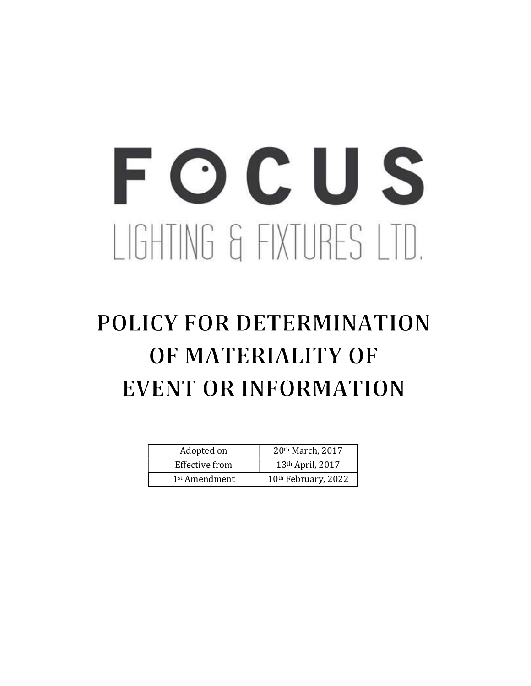# FOCUS LIGHTING & FIXTURES LTD.

# POLICY FOR DETERMINATION OF MATERIALITY OF EVENT OR INFORMATION

| Adopted on                | 20th March, 2017    |
|---------------------------|---------------------|
| Effective from            | 13th April, 2017    |
| 1 <sup>st</sup> Amendment | 10th February, 2022 |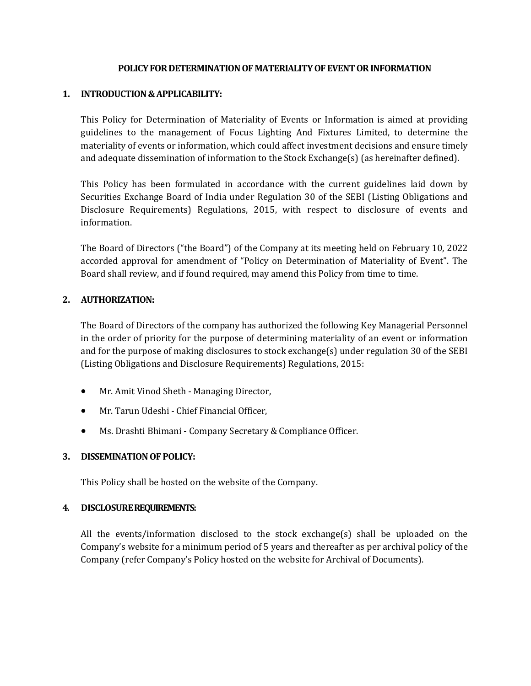#### POLICY FOR DETERMINATION OF MATERIALITY OF EVENT OR INFORMATION

#### 1. INTRODUCTION & APPLICABILITY:

This Policy for Determination of Materiality of Events or Information is aimed at providing guidelines to the management of Focus Lighting And Fixtures Limited, to determine the materiality of events or information, which could affect investment decisions and ensure timely and adequate dissemination of information to the Stock Exchange(s) (as hereinafter defined).

This Policy has been formulated in accordance with the current guidelines laid down by Securities Exchange Board of India under Regulation 30 of the SEBI (Listing Obligations and Disclosure Requirements) Regulations, 2015, with respect to disclosure of events and information.

The Board of Directors ("the Board") of the Company at its meeting held on February 10, 2022 accorded approval for amendment of "Policy on Determination of Materiality of Event". The Board shall review, and if found required, may amend this Policy from time to time.

#### 2. AUTHORIZATION:

The Board of Directors of the company has authorized the following Key Managerial Personnel in the order of priority for the purpose of determining materiality of an event or information and for the purpose of making disclosures to stock exchange(s) under regulation 30 of the SEBI (Listing Obligations and Disclosure Requirements) Regulations, 2015:

- Mr. Amit Vinod Sheth Managing Director,
- Mr. Tarun Udeshi Chief Financial Officer,
- Ms. Drashti Bhimani Company Secretary & Compliance Officer.

## 3. DISSEMINATION OF POLICY:

This Policy shall be hosted on the website of the Company.

#### 4. DISCLOSURE REQUIREMENTS:

All the events/information disclosed to the stock exchange(s) shall be uploaded on the Company's website for a minimum period of 5 years and thereafter as per archival policy of the Company (refer Company's Policy hosted on the website for Archival of Documents).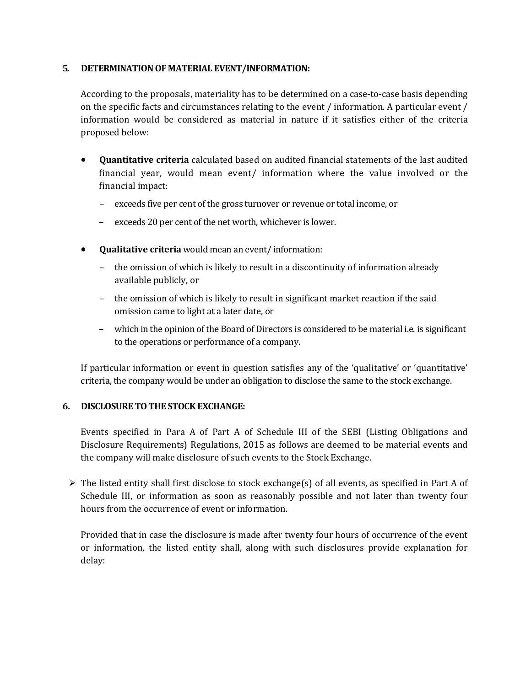#### 5. DETERMINATION OF MATERIAL EVENT/INFORMATION:

According to the proposals, materiality has to be determined on a case-to-case basis depending on the specific facts and circumstances relating to the event / information. A particular event / information would be considered as material in nature if it satisfies either of the criteria proposed below:

- Quantitative criteria calculated based on audited financial statements of the last audited financial year, would mean event/ information where the value involved or the financial impact:
	- exceeds five per cent of the gross turnover or revenue or total income, or
	- exceeds 20 per cent of the net worth, whichever is lower.
- Qualitative criteria would mean an event/ information:
	- the omission of which is likely to result in a discontinuity of information already available publicly, or
	- the omission of which is likely to result in significant market reaction if the said omission came to light at a later date, or
	- which in the opinion of the Board of Directors is considered to be material i.e. is significant to the operations or performance of a company.

If particular information or event in question satisfies any of the 'qualitative' or 'quantitative' criteria, the company would be under an obligation to disclose the same to the stock exchange.

## 6. DISCLOSURE TO THE STOCK EXCHANGE:

Events specified in Para A of Part A of Schedule III of the SEBI (Listing Obligations and Disclosure Requirements) Regulations, 2015 as follows are deemed to be material events and the company will make disclosure of such events to the Stock Exchange.

 $\triangleright$  The listed entity shall first disclose to stock exchange(s) of all events, as specified in Part A of Schedule III, or information as soon as reasonably possible and not later than twenty four hours from the occurrence of event or information.

Provided that in case the disclosure is made after twenty four hours of occurrence of the event or information, the listed entity shall, along with such disclosures provide explanation for delay: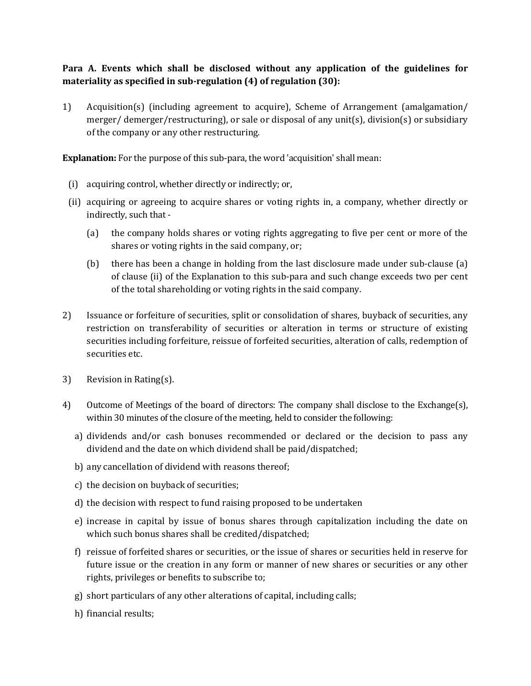# Para A. Events which shall be disclosed without any application of the guidelines for materiality as specified in sub-regulation (4) of regulation (30):

1) Acquisition(s) (including agreement to acquire), Scheme of Arrangement (amalgamation/ merger/ demerger/restructuring), or sale or disposal of any unit(s), division(s) or subsidiary of the company or any other restructuring.

Explanation: For the purpose of this sub-para, the word 'acquisition' shall mean:

- (i) acquiring control, whether directly or indirectly; or,
- (ii) acquiring or agreeing to acquire shares or voting rights in, a company, whether directly or indirectly, such that -
	- (a) the company holds shares or voting rights aggregating to five per cent or more of the shares or voting rights in the said company, or;
	- (b) there has been a change in holding from the last disclosure made under sub-clause (a) of clause (ii) of the Explanation to this sub-para and such change exceeds two per cent of the total shareholding or voting rights in the said company.
- 2) Issuance or forfeiture of securities, split or consolidation of shares, buyback of securities, any restriction on transferability of securities or alteration in terms or structure of existing securities including forfeiture, reissue of forfeited securities, alteration of calls, redemption of securities etc.
- 3) Revision in Rating(s).
- 4) Outcome of Meetings of the board of directors: The company shall disclose to the Exchange(s), within 30 minutes of the closure of the meeting, held to consider the following:
	- a) dividends and/or cash bonuses recommended or declared or the decision to pass any dividend and the date on which dividend shall be paid/dispatched;
	- b) any cancellation of dividend with reasons thereof;
	- c) the decision on buyback of securities;
	- d) the decision with respect to fund raising proposed to be undertaken
	- e) increase in capital by issue of bonus shares through capitalization including the date on which such bonus shares shall be credited/dispatched;
	- f) reissue of forfeited shares or securities, or the issue of shares or securities held in reserve for future issue or the creation in any form or manner of new shares or securities or any other rights, privileges or benefits to subscribe to;
	- g) short particulars of any other alterations of capital, including calls;
	- h) financial results;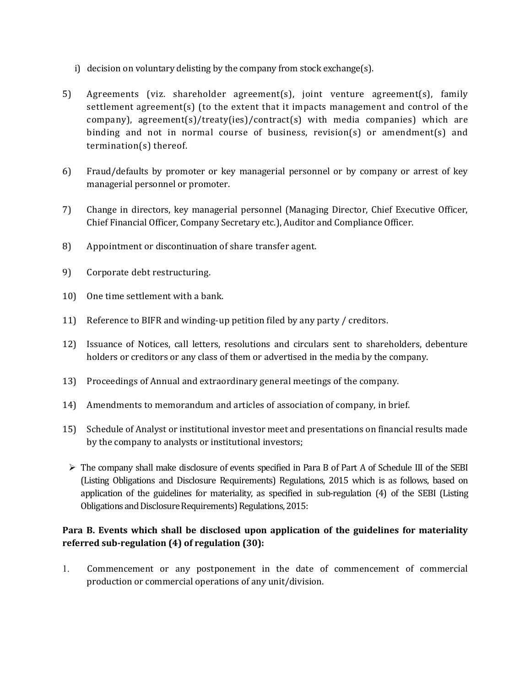- i) decision on voluntary delisting by the company from stock exchange(s).
- 5) Agreements (viz. shareholder agreement(s), joint venture agreement(s), family settlement agreement(s) (to the extent that it impacts management and control of the company), agreement(s)/treaty(ies)/contract(s) with media companies) which are binding and not in normal course of business, revision(s) or amendment(s) and termination(s) thereof.
- 6) Fraud/defaults by promoter or key managerial personnel or by company or arrest of key managerial personnel or promoter.
- 7) Change in directors, key managerial personnel (Managing Director, Chief Executive Officer, Chief Financial Officer, Company Secretary etc.), Auditor and Compliance Officer.
- 8) Appointment or discontinuation of share transfer agent.
- 9) Corporate debt restructuring.
- 10) One time settlement with a bank.
- 11) Reference to BIFR and winding-up petition filed by any party / creditors.
- 12) Issuance of Notices, call letters, resolutions and circulars sent to shareholders, debenture holders or creditors or any class of them or advertised in the media by the company.
- 13) Proceedings of Annual and extraordinary general meetings of the company.
- 14) Amendments to memorandum and articles of association of company, in brief.
- 15) Schedule of Analyst or institutional investor meet and presentations on financial results made by the company to analysts or institutional investors;
	- $\triangleright$  The company shall make disclosure of events specified in Para B of Part A of Schedule III of the SEBI (Listing Obligations and Disclosure Requirements) Regulations, 2015 which is as follows, based on application of the guidelines for materiality, as specified in sub-regulation (4) of the SEBI (Listing Obligations and Disclosure Requirements) Regulations, 2015:

# Para B. Events which shall be disclosed upon application of the guidelines for materiality referred sub-regulation (4) of regulation (30):

1. Commencement or any postponement in the date of commencement of commercial production or commercial operations of any unit/division.